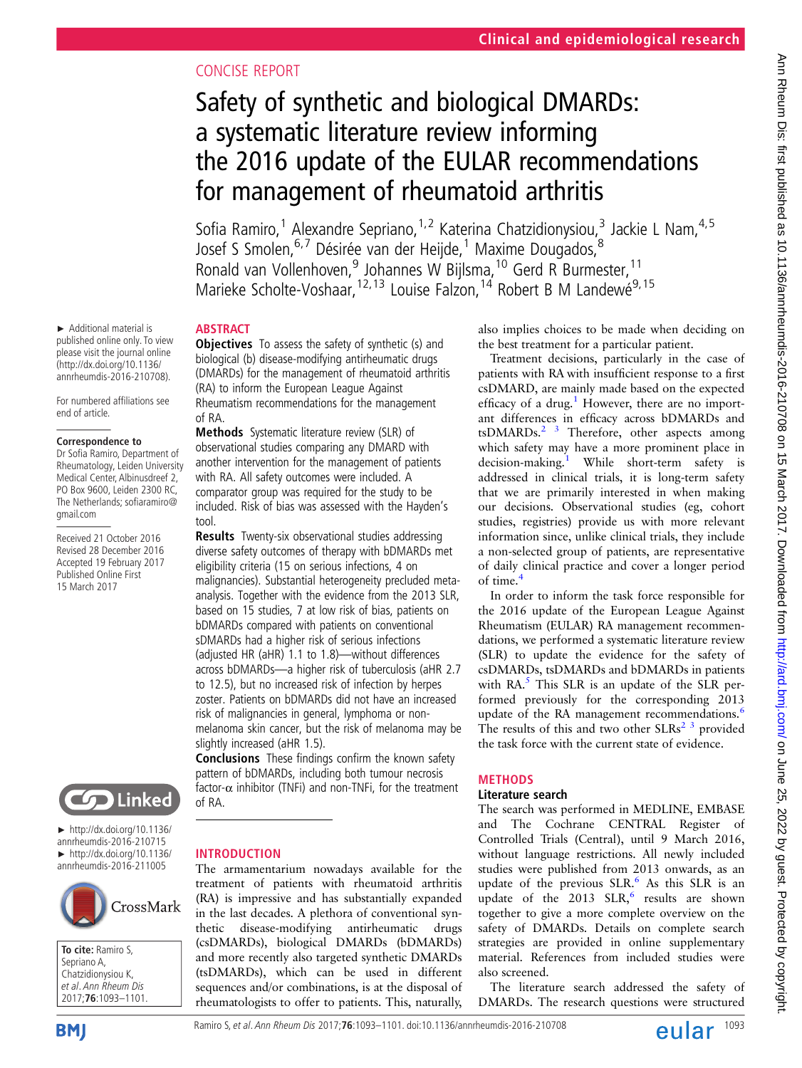# CONCISE REPORT

# Safety of synthetic and biological DMARDs: a systematic literature review informing the 2016 update of the EULAR recommendations for management of rheumatoid arthritis

Sofia Ramiro,<sup>1</sup> Alexandre Sepriano, <sup>1,2</sup> Katerina Chatzidionysiou,<sup>3</sup> Jackie L Nam, <sup>4,5</sup> Josef S Smolen, 6,7 Désirée van der Heijde,<sup>1</sup> Maxime Dougados, <sup>8</sup> Ronald van Vollenhoven,<sup>9</sup> Johannes W Bijlsma,<sup>10</sup> Gerd R Burmester.<sup>11</sup> Marieke Scholte-Voshaar,  $12,13$  Louise Falzon,  $14$  Robert B M Landewé<sup>9, 15</sup>

## **ABSTRACT**

**Objectives** To assess the safety of synthetic (s) and biological (b) disease-modifying antirheumatic drugs (DMARDs) for the management of rheumatoid arthritis (RA) to inform the European League Against Rheumatism recommendations for the management of RA.

Methods Systematic literature review (SLR) of observational studies comparing any DMARD with another intervention for the management of patients with RA. All safety outcomes were included. A comparator group was required for the study to be included. Risk of bias was assessed with the Hayden's tool.

Results Twenty-six observational studies addressing diverse safety outcomes of therapy with bDMARDs met eligibility criteria (15 on serious infections, 4 on malignancies). Substantial heterogeneity precluded metaanalysis. Together with the evidence from the 2013 SLR, based on 15 studies, 7 at low risk of bias, patients on bDMARDs compared with patients on conventional sDMARDs had a higher risk of serious infections (adjusted HR (aHR) 1.1 to 1.8)—without differences across bDMARDs—a higher risk of tuberculosis (aHR 2.7 to 12.5), but no increased risk of infection by herpes zoster. Patients on bDMARDs did not have an increased risk of malignancies in general, lymphoma or nonmelanoma skin cancer, but the risk of melanoma may be slightly increased (aHR 1.5).

Conclusions These findings confirm the known safety pattern of bDMARDs, including both tumour necrosis factor- $\alpha$  inhibitor (TNFi) and non-TNFi, for the treatment of RA.

**Cop** Linked

► Additional material is published online only. To view please visit the journal online (http://dx.doi.org/10.1136/ annrheumdis-2016-210708). For numbered affiliations see

end of article.

gmail.com

**Correspondence to** Dr Sofia Ramiro, Department of Rheumatology, Leiden University Medical Center, Albinusdreef 2, PO Box 9600, Leiden 2300 RC, The Netherlands; sofiaramiro@

Received 21 October 2016 Revised 28 December 2016 Accepted 19 February 2017 Published Online First 15 March 2017

► http://dx.doi.org/10.1136/ annrheumdis-2016-210715 ► http://dx.doi.org/10.1136/ annrheumdis-2016-211005



**To cite:** Ramiro S, Sepriano A, Chatzidionysiou K, et al. Ann Rheum Dis 2017;**76**:1093–1101.



#### INTRODUCTION

The armamentarium nowadays available for the treatment of patients with rheumatoid arthritis (RA) is impressive and has substantially expanded in the last decades. A plethora of conventional synthetic disease-modifying antirheumatic drugs (csDMARDs), biological DMARDs (bDMARDs) and more recently also targeted synthetic DMARDs (tsDMARDs), which can be used in different sequences and/or combinations, is at the disposal of rheumatologists to offer to patients. This, naturally, also implies choices to be made when deciding on the best treatment for a particular patient.

Treatment decisions, particularly in the case of patients with RA with insufficient response to a first csDMARD, are mainly made based on the expected efficacy of a drug.<sup>[1](#page-7-0)</sup> However, there are no important differences in efficacy across bDMARDs and tsDMARDs.<sup>2</sup> <sup>3</sup> Therefore, other aspects among which safety may have a more prominent place in decision-making.<sup>[1](#page-7-0)</sup> While short-term safety is addressed in clinical trials, it is long-term safety that we are primarily interested in when making our decisions. Observational studies (eg, cohort studies, registries) provide us with more relevant information since, unlike clinical trials, they include a non-selected group of patients, are representative of daily clinical practice and cover a longer period of time[.4](#page-7-0)

In order to inform the task force responsible for the 2016 update of the European League Against Rheumatism (EULAR) RA management recommendations, we performed a systematic literature review (SLR) to update the evidence for the safety of csDMARDs, tsDMARDs and bDMARDs in patients with  $RA<sup>5</sup>$ . This SLR is an update of the SLR performed previously for the corresponding 2013 update of the RA management recommendations.<sup>[6](#page-7-0)</sup> The results of this and two other  $SLRs<sup>2</sup>$  3 provided the task force with the current state of evidence.

## METHODS

## Literature search

The search was performed in MEDLINE, EMBASE and The Cochrane CENTRAL Register of Controlled Trials (Central), until 9 March 2016, without language restrictions. All newly included studies were published from 2013 onwards, as an update of the previous SLR.<sup>[6](#page-7-0)</sup> As this SLR is an update of the  $2013$  SLR, results are shown together to give a more complete overview on the safety of DMARDs. Details on complete search strategies are provided in online [supplementary](http://dx.doi.org/10.1136/annrheumdis-2016-210708) [material](http://dx.doi.org/10.1136/annrheumdis-2016-210708). References from included studies were also screened.

The literature search addressed the safety of DMARDs. The research questions were structured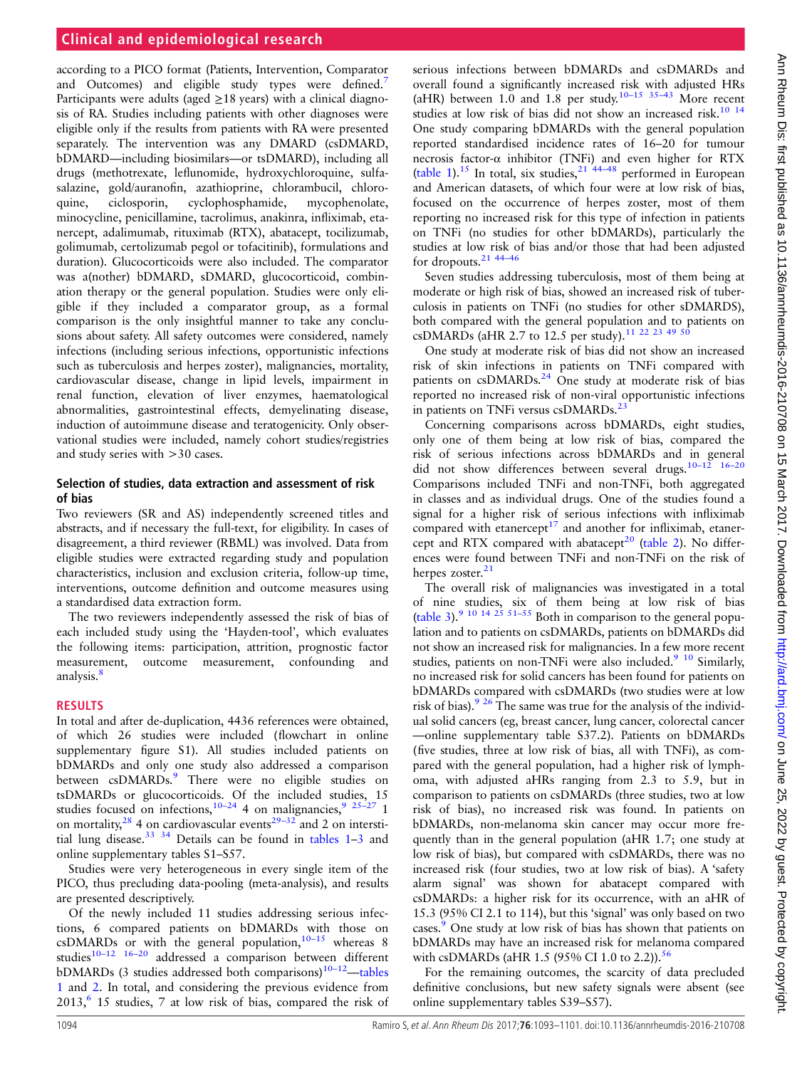## **Clinical and epidemiological research**

according to a PICO format (Patients, Intervention, Comparator and Outcomes) and eligible study types were defined.<sup>[7](#page-7-0)</sup> Participants were adults (aged  $\geq$ 18 years) with a clinical diagnosis of RA. Studies including patients with other diagnoses were eligible only if the results from patients with RA were presented separately. The intervention was any DMARD (csDMARD, bDMARD—including biosimilars—or tsDMARD), including all drugs (methotrexate, leflunomide, hydroxychloroquine, sulfasalazine, gold/auranofin, azathioprine, chlorambucil, chloroquine, ciclosporin, cyclophosphamide, mycophenolate, minocycline, penicillamine, tacrolimus, anakinra, infliximab, etanercept, adalimumab, rituximab (RTX), abatacept, tocilizumab, golimumab, certolizumab pegol or tofacitinib), formulations and duration). Glucocorticoids were also included. The comparator was a(nother) bDMARD, sDMARD, glucocorticoid, combination therapy or the general population. Studies were only eligible if they included a comparator group, as a formal comparison is the only insightful manner to take any conclusions about safety. All safety outcomes were considered, namely infections (including serious infections, opportunistic infections such as tuberculosis and herpes zoster), malignancies, mortality, cardiovascular disease, change in lipid levels, impairment in renal function, elevation of liver enzymes, haematological abnormalities, gastrointestinal effects, demyelinating disease, induction of autoimmune disease and teratogenicity. Only observational studies were included, namely cohort studies/registries and study series with >30 cases.

#### Selection of studies, data extraction and assessment of risk of bias

Two reviewers (SR and AS) independently screened titles and abstracts, and if necessary the full-text, for eligibility. In cases of disagreement, a third reviewer (RBML) was involved. Data from eligible studies were extracted regarding study and population characteristics, inclusion and exclusion criteria, follow-up time, interventions, outcome definition and outcome measures using a standardised data extraction form.

The two reviewers independently assessed the risk of bias of each included study using the 'Hayden-tool', which evaluates the following items: participation, attrition, prognostic factor measurement, outcome measurement, confounding and analysis.<sup>[8](#page-7-0)</sup>

#### RESULTS

In total and after de-duplication, 4436 references were obtained, of which 26 studies were included (flowchart in online [supplementary](http://dx.doi.org/10.1136/annrheumdis-2016-210708) figure S1). All studies included patients on bDMARDs and only one study also addressed a comparison between csDMARDs.<sup>9</sup> There were no eligible studies on tsDMARDs or glucocorticoids. Of the included studies, 15 studies focused on infections,<sup>[10](#page-7-0)–24</sup> 4 on malignancies,<sup>9</sup> <sup>25–27</sup> 1 on mortality,<sup>[28](#page-7-0)</sup> 4 on cardiovascular events<sup>29–[32](#page-7-0)</sup> and 2 on intersti-tial lung disease.<sup>[33 34](#page-8-0)</sup> Details can be found in tables  $1-3$  $1-3$  and online [supplementary tables S1](http://dx.doi.org/10.1136/annrheumdis-2016-210708)–S57.

Studies were very heterogeneous in every single item of the PICO, thus precluding data-pooling (meta-analysis), and results are presented descriptively.

Of the newly included 11 studies addressing serious infections, 6 compared patients on bDMARDs with those on  $\text{csDMARDs}$  or with the general population,  $10^{-15}$  $10^{-15}$  whereas 8 studies<sup>10–[12](#page-7-0)</sup> <sup>16–[20](#page-7-0)</sup> addressed a comparison between different bDMARDs (3 studies addressed both comparisons)<sup>10–[12](#page-7-0)</sup>—[tables](#page-2-0) [1](#page-2-0) and [2.](#page-4-0) In total, and considering the previous evidence from  $2013<sup>6</sup>$  15 studies, 7 at low risk of bias, compared the risk of

serious infections between bDMARDs and csDMARDs and overall found a significantly increased risk with adjusted HRs (aHR) between 1.0 and 1.8 per study.<sup>10–[15](#page-7-0)</sup> [35](#page-8-0)–43 More recent studies at low risk of bias did not show an increased risk.<sup>10</sup> <sup>14</sup> One study comparing bDMARDs with the general population reported standardised incidence rates of 16–20 for tumour necrosis factor-α inhibitor (TNFi) and even higher for RTX ([table 1](#page-2-0)).<sup>[15](#page-7-0)</sup> In total, six studies,<sup>[21](#page-7-0) [44](#page-8-0)–48</sup> performed in European and American datasets, of which four were at low risk of bias, focused on the occurrence of herpes zoster, most of them reporting no increased risk for this type of infection in patients on TNFi (no studies for other bDMARDs), particularly the studies at low risk of bias and/or those that had been adjusted for dropouts.[21](#page-7-0) 44–[46](#page-8-0)

Seven studies addressing tuberculosis, most of them being at moderate or high risk of bias, showed an increased risk of tuberculosis in patients on TNFi (no studies for other sDMARDS), both compared with the general population and to patients on csDMARDs (aHR 2.7 to 12.5 per study).<sup>[11 22 23](#page-7-0) [49 50](#page-8-0)</sup>

One study at moderate risk of bias did not show an increased risk of skin infections in patients on TNFi compared with patients on  $csDMARDs<sup>24</sup>$  One study at moderate risk of bias reported no increased risk of non-viral opportunistic infections in patients on TNFi versus csDMARDs.<sup>2</sup>

Concerning comparisons across bDMARDs, eight studies, only one of them being at low risk of bias, compared the risk of serious infections across bDMARDs and in general did not show differences between several drugs. $10-12$ Comparisons included TNFi and non-TNFi, both aggregated in classes and as individual drugs. One of the studies found a signal for a higher risk of serious infections with infliximab compared with etanercept $17$  and another for infliximab, etaner-cept and RTX compared with abatacept<sup>[20](#page-7-0)</sup> ([table 2\)](#page-4-0). No differences were found between TNFi and non-TNFi on the risk of herpes zoster. $21$ 

The overall risk of malignancies was investigated in a total of nine studies, six of them being at low risk of bias ([table 3](#page-5-0)).<sup>[9 10 14 25](#page-7-0) [51](#page-8-0)-55</sup> Both in comparison to the general population and to patients on csDMARDs, patients on bDMARDs did not show an increased risk for malignancies. In a few more recent studies, patients on non-TNFi were also included.<sup>9</sup> <sup>10</sup> Similarly, no increased risk for solid cancers has been found for patients on bDMARDs compared with csDMARDs (two studies were at low risk of bias). $9^{9}$  <sup>26</sup> The same was true for the analysis of the individual solid cancers (eg, breast cancer, lung cancer, colorectal cancer —online [supplementary table S37.2\)](http://dx.doi.org/10.1136/annrheumdis-2016-210708). Patients on bDMARDs (five studies, three at low risk of bias, all with TNFi), as compared with the general population, had a higher risk of lymphoma, with adjusted aHRs ranging from 2.3 to 5.9, but in comparison to patients on csDMARDs (three studies, two at low risk of bias), no increased risk was found. In patients on bDMARDs, non-melanoma skin cancer may occur more frequently than in the general population (aHR 1.7; one study at low risk of bias), but compared with csDMARDs, there was no increased risk (four studies, two at low risk of bias). A 'safety alarm signal' was shown for abatacept compared with csDMARDs: a higher risk for its occurrence, with an aHR of 15.3 (95% CI 2.1 to 114), but this 'signal' was only based on two cases.<sup>[9](#page-7-0)</sup> One study at low risk of bias has shown that patients on bDMARDs may have an increased risk for melanoma compared with csDMARDs (aHR 1.5 (95% CI 1.0 to 2.2)).<sup>56</sup>

For the remaining outcomes, the scarcity of data precluded definitive conclusions, but new safety signals were absent (see online [supplementary tables S39](http://dx.doi.org/10.1136/annrheumdis-2016-210708)–S57).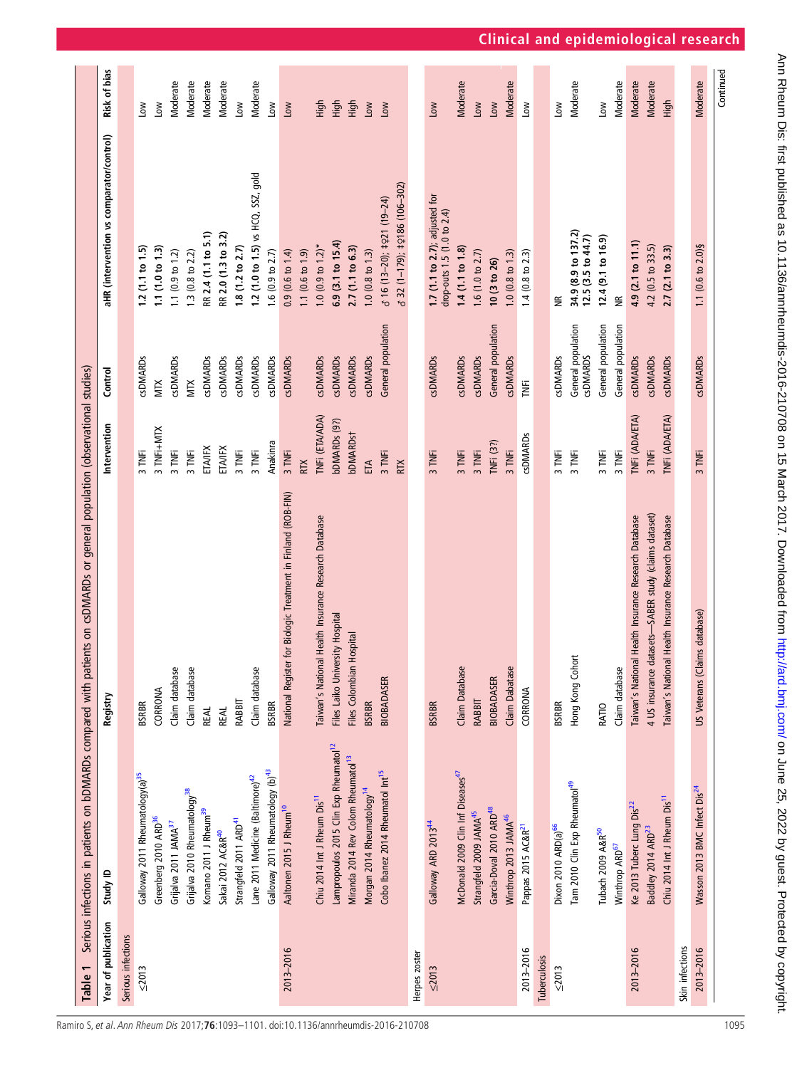<span id="page-2-0"></span>

| Table 1             |                                                    | Serious infections in patients on bDMARDs compared with patients on csDMARDs or general population (observational studies) |                       |                                       |                                                              |               |
|---------------------|----------------------------------------------------|----------------------------------------------------------------------------------------------------------------------------|-----------------------|---------------------------------------|--------------------------------------------------------------|---------------|
| Year of publication | Study ID                                           | Registry                                                                                                                   | Intervention          | Control                               | aHR (intervention vs comparator/control)                     | Risk of bias  |
| Serious infections  |                                                    |                                                                                                                            |                       |                                       |                                                              |               |
| $\leq 2013$         | Galloway 2011 Rheumatology(a) <sup>35</sup>        | <b>BSRBR</b>                                                                                                               | 3 TNFi                | <b>SDMARDS</b>                        | 1.2(1.1 to 1.5)                                              | Low           |
|                     | Greenberg 2010 ARD <sup>36</sup>                   | CORRONA                                                                                                                    | 3 TNFi+MTX            | <b>MIX</b>                            | 1.1(1.0 to 1.3)                                              | Low           |
|                     | Grijalva 2011 JAMA <sup>37</sup>                   | Claim database                                                                                                             | 3 TNFi                | <b>csDMARDs</b>                       | 1.1 $(0.9 \text{ to } 1.2)$                                  | Moderate      |
|                     | Grijalva 2010 Rheumatology <sup>38</sup>           | Claim database                                                                                                             | 3 TNFi                | <b>MIX</b>                            | 1.3 (0.8 to 2.2)                                             | Moderate      |
|                     | Komano 2011 J Rheum <sup>39</sup>                  | <b>REAL</b>                                                                                                                | ETAIFX                | <b>csDMARDs</b>                       | RR 2.4 (1.1 to 5.1)                                          | Moderate      |
|                     | Sakai 2012 AC&R <sup>40</sup>                      | <b>REAL</b>                                                                                                                | ETAIFX                | <b>GDMARDs</b>                        | RR 2.0 (1.3 to 3.2)                                          | Vloderate     |
|                     | Strangfeld 2011 ARD <sup>41</sup>                  | RABBIT                                                                                                                     | 3 TNFi                | <b>csDMARDs</b>                       | 1.8(1.2 to 2.7)                                              | Low           |
|                     | Lane 2011 Medicine (Baltimore) <sup>42</sup>       | Claim database                                                                                                             | 3 TNFi                | <b>GDMARDs</b>                        | 1.2 (1.0 to 1.5) vs HCQ, SSZ, gold                           | Moderate      |
|                     | Galloway 2011 Rheumatology (b) <sup>43</sup>       | <b>BSRBR</b>                                                                                                               | Anakinra              | <b>GDMARDs</b>                        | 1.6 (0.9 to $2.7$ )                                          | Low           |
| 2013-2016           | Aaltonen 2015 J Rheum <sup>10</sup>                | for Biologic Treatment in Finland (ROB-FIN)<br>National Register                                                           | 3 TNFi                | <b>csDMARDs</b>                       | 0.9(0.6 t 0 1.4)                                             | Low           |
|                     |                                                    |                                                                                                                            | <b>RTX</b>            |                                       | 1.1 $(0.6 \text{ to } 1.9)$                                  |               |
|                     | Chiu 2014 Int J Rheum Dis <sup>11</sup>            | Taiwan's National Health Insurance Research Database                                                                       | <b>TNFi (ETA/ADA)</b> | <b>csDMARDs</b>                       | $1.0$ (0.9 to $1.2$ )*                                       | $\frac{4}{2}$ |
|                     | Lampropoulos 2015 Clin Exp Rheumatol <sup>12</sup> | Files Laiko University Hospital                                                                                            | bDMARDs (9?)          | <b>csDMARDs</b>                       | 6.9 (3.1 to 15.4)                                            | High          |
|                     | Miranda 2014 Rev Colom Rheumatol <sup>13</sup>     | Files Colombian Hospital                                                                                                   | bDMARDst              | <b>csDMARDs</b>                       | 2.7 (1.1 to 6.3)                                             | <b>ligh</b>   |
|                     | Morgan 2014 Rheumatology <sup>14</sup>             | <b>BSRBR</b>                                                                                                               | ETA                   | <b>CSDMARDS</b>                       | 1.0 (0.8 to 1.3)                                             | Low           |
|                     | Cobo Ibanez 2014 Rheumatol Int <sup>15</sup>       | BIOBADASER                                                                                                                 | 3 TNFi                | General population                    | $316(13-20);$ $\pm$ 21 $(19-24)$                             | $\sum$        |
|                     |                                                    |                                                                                                                            | <b>RTX</b>            |                                       | 6 32 (1-179); ‡ 2186 (106-302)                               |               |
| Herpes zoster       |                                                    |                                                                                                                            |                       |                                       |                                                              |               |
| $\leq 2013$         | Galloway ARD 2013 <sup>44</sup>                    | <b>BSRBR</b>                                                                                                               | 3 TNFi                | <b>csDMARDs</b>                       | 1.7 (1.1 to 2.7); adjusted for<br>drop-outs 1.5 (1.0 to 2.4) | Low           |
|                     | McDonald 2009 Clin Inf Diseases <sup>47</sup>      | Claim Database                                                                                                             | 3 TNFi                | <b>csDMARDs</b>                       | 1.4(1.1 to 1.8)                                              | Moderate      |
|                     | Strangfeld 2009 JAMA <sup>45</sup>                 | RABBIT                                                                                                                     | 3 TNFi                | <b>csDMARDs</b>                       | 1.6 (1.0 to 2.7)                                             | Low           |
|                     | Garcia-Doval 2010 ARD <sup>48</sup>                | BIOBADASER                                                                                                                 | TNFi (3?)             | General population                    | 10 (3 to 26)                                                 | Low           |
|                     | Winthrop 2013 JAMA <sup>46</sup>                   | Claim Dabatase                                                                                                             | 3 TNFi                | <b>CSDMARDS</b>                       | $1.0$ (0.8 to 1.3)                                           | Moderate      |
| 2013-2016           | Pappas 2015 AC&R <sup>21</sup>                     | CORRONA                                                                                                                    | <b>csDMARDs</b>       | ĬΕ                                    | 1.4 ( $0.8$ to $2.3$ )                                       | Low           |
| Tuberculosis        |                                                    |                                                                                                                            |                       |                                       |                                                              |               |
| $\leq 2013$         | Dixon 2010 ARD(a) <sup>66</sup>                    | <b>BSRBR</b>                                                                                                               | 3 TNFi                | <b>csDMARDs</b>                       | £                                                            | Low           |
|                     | Tam 2010 Clin Exp Rheumatol <sup>49</sup>          | Hong Kong Cohort                                                                                                           | 3 TNFi                | General population<br><b>CSDMARDS</b> | 34.9 (8.9 to 137.2)<br>12.5(3.5 to 44.7)                     | Moderate      |
|                     | Tubach 2009 A&R <sup>50</sup>                      | RATIO                                                                                                                      | 3 TNFi                | General population                    | 12.4 (9.1 to 16.9)                                           | Low           |
|                     | Winthrop ARD <sup>67</sup>                         | Claim database                                                                                                             | 3 TNFi                | General population                    | $\widetilde{\Xi}$                                            | Moderate      |
| 2013-2016           | Ke 2013 Tuberc Lung Dis <sup>22</sup>              | Taiwan's National Health Insurance Research Database                                                                       | TNFi (ADA/ETA)        | <b>csDMARDs</b>                       | 4.9 (2.1 to 11.1)                                            | Moderate      |
|                     | Baddley 2014 ARD <sup>23</sup>                     | 4 US insurance datasets-SABER study (claims dataset)                                                                       | 3 TNFi                | <b>csDMARDs</b>                       | 4.2 (0.5 to 33.5)                                            | Moderate      |
|                     | Chiu 2014 Int J Rheum Dis <sup>11</sup>            | Taiwan's National Health Insurance Research Database                                                                       | INFI (ADA/ETA)        | <b>csDMARDs</b>                       | 2.7 (2.1 to 3.3)                                             | High          |
| Skin infections     |                                                    |                                                                                                                            |                       |                                       |                                                              |               |
| 2013-2016           | Wasson 2013 BMC Infect Dis <sup>24</sup>           | US Veterans (Claims database)                                                                                              | 3 TNFi                | <b>csDMARDs</b>                       | 1.1 (0.6 to 2.0) §                                           | Moderate      |
|                     |                                                    |                                                                                                                            |                       |                                       |                                                              | Continuec     |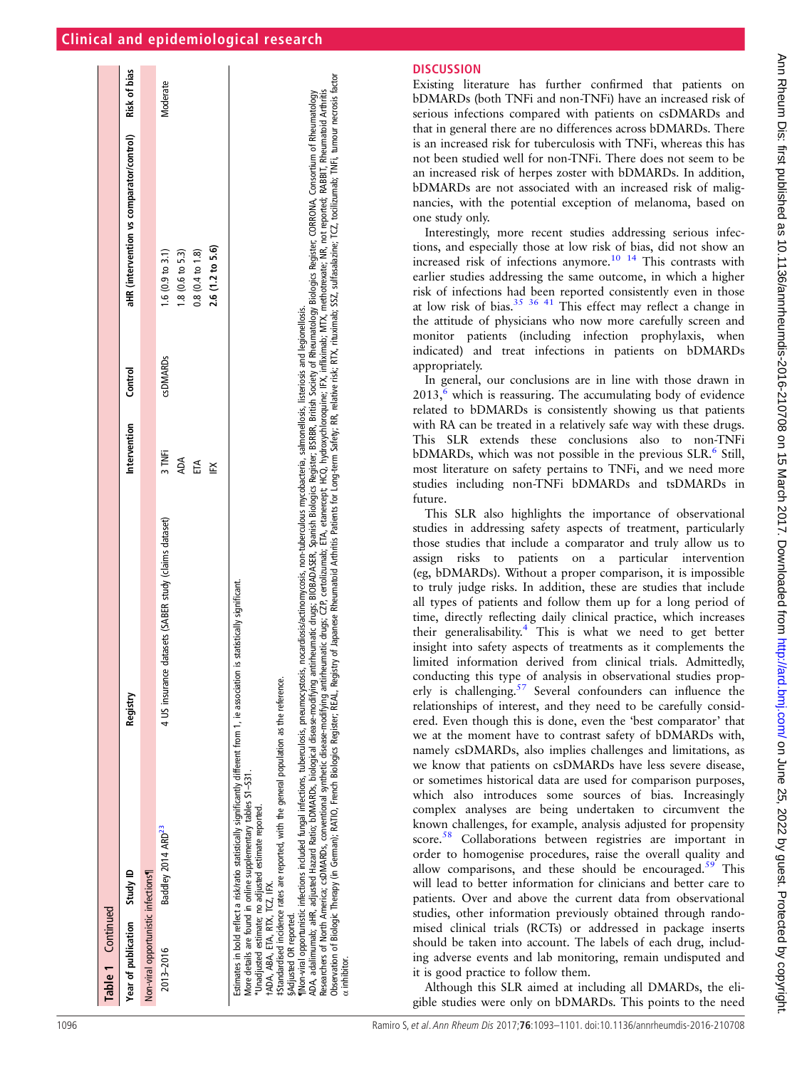|  |  | <b>Clinical and epidemiological research</b> |  |
|--|--|----------------------------------------------|--|
|  |  |                                              |  |

| Table 1 Continued                                                     |                                                                                                                                                                                                                                                                                                                                                                                                                                                               |                                                                                                                                                                                                                                                                                                                                                                                                                                                                                                                                                                                                                                                                      |                          |                |                                                                                                  |              |
|-----------------------------------------------------------------------|---------------------------------------------------------------------------------------------------------------------------------------------------------------------------------------------------------------------------------------------------------------------------------------------------------------------------------------------------------------------------------------------------------------------------------------------------------------|----------------------------------------------------------------------------------------------------------------------------------------------------------------------------------------------------------------------------------------------------------------------------------------------------------------------------------------------------------------------------------------------------------------------------------------------------------------------------------------------------------------------------------------------------------------------------------------------------------------------------------------------------------------------|--------------------------|----------------|--------------------------------------------------------------------------------------------------|--------------|
| Year of publication Study ID                                          |                                                                                                                                                                                                                                                                                                                                                                                                                                                               | Registry                                                                                                                                                                                                                                                                                                                                                                                                                                                                                                                                                                                                                                                             | Intervention             | Control        | aHR (intervention vs comparator/control)                                                         | Risk of bias |
| Non-viral opportunistic infections <sup>1</sup>                       |                                                                                                                                                                                                                                                                                                                                                                                                                                                               |                                                                                                                                                                                                                                                                                                                                                                                                                                                                                                                                                                                                                                                                      |                          |                |                                                                                                  |              |
| tADA, ABA, ETA, RTX, TCZ, IFX.<br>§Adjusted OR reported.<br>2013-2016 | INon-viral opportunistic infections included fungal infections, tuberculosis, pneumocystosis,<br>Estimates in bold reflect a risk/ratio statistically significantly different from 1, ie association<br>#Standardised incidence rates are reported, with the general population as the reference.<br>More details are found in online supplementary tables S1-S31.<br>* Unadjusted estimate; no adjusted estimate reported.<br>Baddley 2014 ARD <sup>23</sup> | Researchers of North America; coDMARDs, conventional synthetic disease-modifying antineumatic drugs; CP, certolizumab; ETA, etanercept; HCQ, hydroxychloroquine; IFX, infliximab; MTX, methotrexate; NR, not reported; RABBIT,<br>ADA, adalimumab; aHR, adiusted Hazard Ratio; bDMARDs, biological disease-modifying antinheumatic drugs; BIOBADASER, Spanish Biologics Register, SPRR, Ritish Society of Rheumatology Biologics Register, CORRONA, Consortium o<br>nocardiosis/actinomycosis, non-tuberculous mycobacteria, salmonellosis, listeriosis and legionellosis.<br>4 US insurance datasets (SABER study (claims dataset)<br>is statistically significant. | 3 TNFi<br>ADA<br>ĘĀ<br>Ĕ | <b>GDMARDS</b> | 2.6 (1.2 to 5.6)<br>0.8(0.4 t 0.1.8)<br>$1.6(0.9 \text{ to } 3.1)$<br>$1.8(0.6 \text{ to } 5.3)$ | Moderate     |
| $\alpha$ inhibitor.                                                   |                                                                                                                                                                                                                                                                                                                                                                                                                                                               | Observation of Biologic Therapy (in German); RATIO, French Biologics Registry Registry Realistry of Japanese Rheumatoid Arthritis Patients for Long-term Safety; RR, relative risk; RTX, rituximab; SZ, sulfasalazine; TCZ, to                                                                                                                                                                                                                                                                                                                                                                                                                                       |                          |                |                                                                                                  |              |

# **DISCUSSION**

Existing literature has further con firmed that patients on bDMARDs (both TNFi and non-TNFi) have an increased risk of serious infections compared with patients on csDMARDs and that in general there are no differences across bDMARDs. There is an increased risk for tuberculosis with TNFi, whereas this has not been studied well for non-TNFi. There does not seem to be an increased risk of herpes zoster with bDMARDs. In addition, bDMARDs are not associated with an increased risk of malignancies, with the potential exception of melanoma, based on one study only.

Interestingly, more recent studies addressing serious infections, and especially those at low risk of bias, did not show an increased risk of infections anymore.[10 14](#page-7-0) This contrasts with earlier studies addressing the same outcome, in which a higher risk of infections had been reported consistently even in those at low risk of bias. $35 \frac{36}{41}$  This effect may reflect a change in the attitude of physicians who now more carefully screen and monitor patients (including infection prophylaxis, when indicated) and treat infections in patients on bDMARDs appropriately.

In general, our conclusions are in line with those drawn in  $2013$ , which is reassuring. The accumulating body of evidence related to bDMARDs is consistently showing us that patients with RA can be treated in a relatively safe way with these drugs. This SLR extends these conclusions also to non-TNFi bDMARDs, which was not possible in the previous SLR.<sup>[6](#page-7-0)</sup> Still, most literature on safety pertains to TNFi, and we need more studies including non-TNFi bDMARDs and tsDMARDs in future.

This SLR also highlights the importance of observational studies in addressing safety aspects of treatment, particularly those studies that include a comparator and truly allow us to assign risks to patients on a particular intervention (eg, bDMARDs). Without a proper comparison, it is impossible to truly judge risks. In addition, these are studies that include all types of patients and follow them up for a long period of time, directly re flecting daily clinical practice, which increases their generalisability.<sup>[4](#page-7-0)</sup> This is what we need to get better insight into safety aspects of treatments as it complements the limited information derived from clinical trials. Admittedly, conducting this type of analysis in observational studies prop-erly is challenging.<sup>[57](#page-8-0)</sup> Several confounders can influence the relationships of interest, and they need to be carefully considered. Even though this is done, even the 'best comparator' that we at the moment have to contrast safety of bDMARDs with, namely csDMARDs, also implies challenges and limitations, as we know that patients on csDMARDs have less severe disease, or sometimes historical data are used for comparison purposes, which also introduces some sources of bias. Increasingly complex analyses are being undertaken to circumvent the known challenges, for example, analysis adjusted for propensity score.<sup>[58](#page-8-0)</sup> Collaborations between registries are important in order to homogenise procedures, raise the overall quality and allow comparisons, and these should be encouraged.<sup>[59](#page-8-0)</sup> This will lead to better information for clinicians and better care to patients. Over and above the current data from observational studies, other information previously obtained through randomised clinical trials (RCTs) or addressed in package inserts should be taken into account. The labels of each drug, including adverse events and lab monitoring, remain undisputed and it is good practice to follow them.

Although this SLR aimed at including all DMARDs, the eligible studies were only on bDMARDs. This points to the need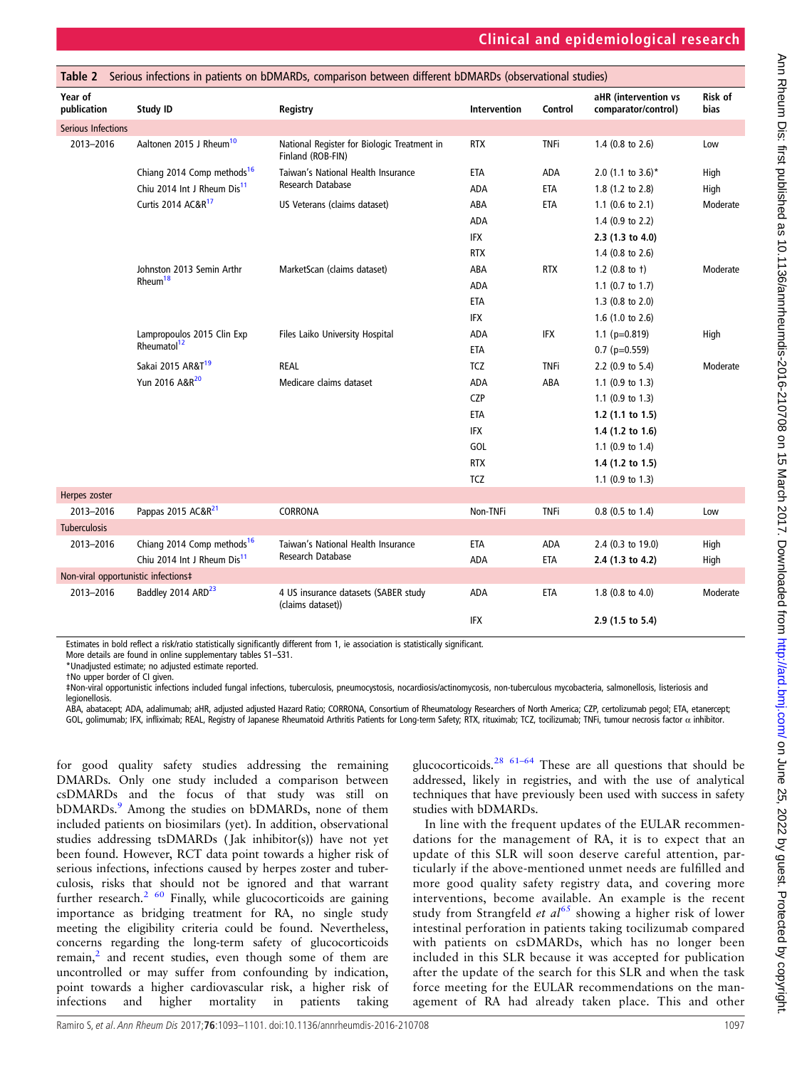<span id="page-4-0"></span>

|                                     |                                         | Table 2 Serious infections in patients on bDMARDs, comparison between different bDMARDs (observational studies) |              |             |                                             |                 |
|-------------------------------------|-----------------------------------------|-----------------------------------------------------------------------------------------------------------------|--------------|-------------|---------------------------------------------|-----------------|
| Year of<br>publication              | Study ID                                | Registry                                                                                                        | Intervention | Control     | aHR (intervention vs<br>comparator/control) | Risk of<br>bias |
| Serious Infections                  |                                         |                                                                                                                 |              |             |                                             |                 |
| 2013-2016                           | Aaltonen 2015 J Rheum <sup>10</sup>     | National Register for Biologic Treatment in<br>Finland (ROB-FIN)                                                | <b>RTX</b>   | <b>TNFi</b> | 1.4 $(0.8 \text{ to } 2.6)$                 | Low             |
|                                     | Chiang 2014 Comp methods <sup>16</sup>  | Taiwan's National Health Insurance                                                                              | <b>ETA</b>   | ADA         | 2.0 (1.1 to 3.6)*                           | High            |
|                                     | Chiu 2014 Int J Rheum Dis <sup>11</sup> | Research Database                                                                                               | <b>ADA</b>   | ETA         | 1.8 (1.2 to 2.8)                            | High            |
|                                     | Curtis 2014 AC&R <sup>17</sup>          | US Veterans (claims dataset)                                                                                    | ABA          | ETA         | 1.1 (0.6 to 2.1)                            | Moderate        |
|                                     |                                         |                                                                                                                 | <b>ADA</b>   |             | 1.4 $(0.9 \text{ to } 2.2)$                 |                 |
|                                     |                                         |                                                                                                                 | <b>IFX</b>   |             | 2.3 (1.3 to 4.0)                            |                 |
|                                     |                                         |                                                                                                                 | <b>RTX</b>   |             | 1.4 $(0.8 \text{ to } 2.6)$                 |                 |
|                                     | Johnston 2013 Semin Arthr               | MarketScan (claims dataset)                                                                                     | ABA          | <b>RTX</b>  | 1.2 $(0.8 \text{ to } t)$                   | Moderate        |
|                                     | $R$ heum <sup>18</sup>                  |                                                                                                                 | ADA          |             | 1.1 $(0.7 \text{ to } 1.7)$                 |                 |
|                                     |                                         |                                                                                                                 | <b>ETA</b>   |             | 1.3 (0.8 to 2.0)                            |                 |
|                                     |                                         |                                                                                                                 | <b>IFX</b>   |             | 1.6 $(1.0 to 2.6)$                          |                 |
|                                     | Lampropoulos 2015 Clin Exp              | Files Laiko University Hospital                                                                                 | ADA          | IFX         | $1.1$ (p=0.819)                             | High            |
|                                     | Rheumatol <sup>12</sup>                 |                                                                                                                 | <b>ETA</b>   |             | $0.7$ (p=0.559)                             |                 |
|                                     | Sakai 2015 AR&T <sup>19</sup>           | <b>REAL</b>                                                                                                     | <b>TCZ</b>   | <b>TNFi</b> | 2.2 (0.9 to 5.4)                            | Moderate        |
|                                     | Yun 2016 A&R <sup>20</sup>              | Medicare claims dataset                                                                                         | ADA          | ABA         | 1.1 (0.9 to 1.3)                            |                 |
|                                     |                                         |                                                                                                                 | <b>CZP</b>   |             | 1.1 $(0.9 \text{ to } 1.3)$                 |                 |
|                                     |                                         |                                                                                                                 | ETA          |             | 1.2 $(1.1 to 1.5)$                          |                 |
|                                     |                                         |                                                                                                                 | <b>IFX</b>   |             | 1.4 $(1.2$ to 1.6)                          |                 |
|                                     |                                         |                                                                                                                 | <b>GOL</b>   |             | 1.1 (0.9 to 1.4)                            |                 |
|                                     |                                         |                                                                                                                 | <b>RTX</b>   |             | 1.4 $(1.2$ to 1.5)                          |                 |
|                                     |                                         |                                                                                                                 | TCZ          |             | 1.1 (0.9 to 1.3)                            |                 |
| Herpes zoster                       |                                         |                                                                                                                 |              |             |                                             |                 |
| 2013-2016                           | Pappas 2015 AC&R <sup>21</sup>          | CORRONA                                                                                                         | Non-TNFi     | <b>TNFi</b> | 0.8 (0.5 to 1.4)                            | Low             |
| <b>Tuberculosis</b>                 |                                         |                                                                                                                 |              |             |                                             |                 |
| 2013-2016                           | Chiang 2014 Comp methods <sup>16</sup>  | Taiwan's National Health Insurance                                                                              | ETA          | ADA         | 2.4 (0.3 to 19.0)                           | High            |
|                                     | Chiu 2014 Int J Rheum Dis <sup>11</sup> | Research Database                                                                                               | ADA          | ETA         | 2.4 (1.3 to 4.2)                            | High            |
| Non-viral opportunistic infections‡ |                                         |                                                                                                                 |              |             |                                             |                 |
| 2013-2016                           | Baddley 2014 ARD <sup>23</sup>          | 4 US insurance datasets (SABER study<br>(claims dataset))                                                       | ADA          | ETA         | 1.8 (0.8 to 4.0)                            | Moderate        |
|                                     |                                         |                                                                                                                 | IFX          |             | 2.9 (1.5 to 5.4)                            |                 |

Estimates in bold reflect a risk/ratio statistically significantly different from 1, ie association is statistically significant.

More details are found in online [supplementary tables S1](http://dx.doi.org/10.1136/annrheumdis-2016-210708)–S31.

\*Unadjusted estimate; no adjusted estimate reported.

†No upper border of CI given.

‡Non-viral opportunistic infections included fungal infections, tuberculosis, pneumocystosis, nocardiosis/actinomycosis, non-tuberculous mycobacteria, salmonellosis, listeriosis and legionellosis.

ABA, abatacept; ADA, adalimumab; aHR, adjusted adjusted Hazard Ratio; CORRONA, Consortium of Rheumatology Researchers of North America; CZP, certolizumab pegol; ETA, etanercept; GOL, golimumab; IFX, infliximab; REAL, Registry of Japanese Rheumatoid Arthritis Patients for Long-term Safety; RTX, rituximab; TCZ, tocilizumab; TNFi, tumour necrosis factor α inhibitor.

for good quality safety studies addressing the remaining DMARDs. Only one study included a comparison between csDMARDs and the focus of that study was still on bDMARDs.<sup>[9](#page-7-0)</sup> Among the studies on bDMARDs, none of them included patients on biosimilars (yet). In addition, observational studies addressing tsDMARDs ( Jak inhibitor(s)) have not yet been found. However, RCT data point towards a higher risk of serious infections, infections caused by herpes zoster and tuberculosis, risks that should not be ignored and that warrant further research.<sup>[2](#page-7-0) [60](#page-8-0)</sup> Finally, while glucocorticoids are gaining importance as bridging treatment for RA, no single study meeting the eligibility criteria could be found. Nevertheless, concerns regarding the long-term safety of glucocorticoids remain, $\lambda$  and recent studies, even though some of them are uncontrolled or may suffer from confounding by indication, point towards a higher cardiovascular risk, a higher risk of infections and higher mortality in patients taking

glucocorticoids.<sup>[28](#page-7-0) 61–[64](#page-8-0)</sup> These are all questions that should be addressed, likely in registries, and with the use of analytical techniques that have previously been used with success in safety studies with bDMARDs.

In line with the frequent updates of the EULAR recommendations for the management of RA, it is to expect that an update of this SLR will soon deserve careful attention, particularly if the above-mentioned unmet needs are fulfilled and more good quality safety registry data, and covering more interventions, become available. An example is the recent study from Strangfeld et  $al^{65}$  $al^{65}$  $al^{65}$  showing a higher risk of lower intestinal perforation in patients taking tocilizumab compared with patients on csDMARDs, which has no longer been included in this SLR because it was accepted for publication after the update of the search for this SLR and when the task force meeting for the EULAR recommendations on the management of RA had already taken place. This and other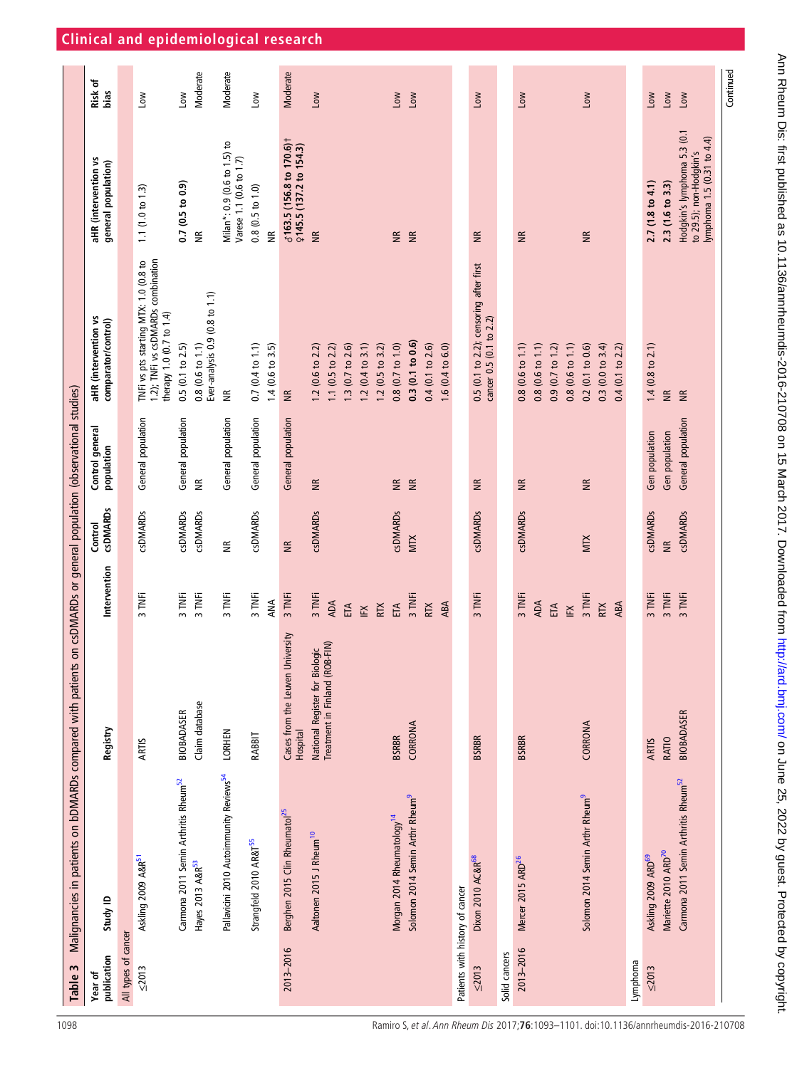<span id="page-5-0"></span>

| Table 3                         | Malignancies in patients on bDMARDs compared with patients |                                                                  |                      |                            | on csDMARDs or general population (observational studies) |                                                                                                         |                                                                                      |                 |
|---------------------------------|------------------------------------------------------------|------------------------------------------------------------------|----------------------|----------------------------|-----------------------------------------------------------|---------------------------------------------------------------------------------------------------------|--------------------------------------------------------------------------------------|-----------------|
| publication<br>Year of          | Study ID                                                   | Registry                                                         | Intervention         | <b>CSDMARDS</b><br>Control | Control general<br>population                             | aHR (intervention vs<br>comparator/control)                                                             | aHR (intervention vs<br>general population)                                          | Risk of<br>bias |
| All types of cancer             |                                                            |                                                                  |                      |                            |                                                           |                                                                                                         |                                                                                      |                 |
| $\leq 2013$                     | Askling 2009 A&R <sup>51</sup>                             | <b>ARTIS</b>                                                     | 3 TNFi               | <b>csDMARDs</b>            | General population                                        | 1.2); TNFi vs csDMARDs combination<br>TNFi vs pts starting MTX: 1.0 (0.8 to<br>therapy 1.0 (0.7 to 1.4) | 1.1(1.0 to 1.3)                                                                      | Low             |
|                                 | Carmona 2011 Semin Arthritis Rheum <sup>52</sup>           | BIOBADASER                                                       | 3 TNFi               | <b>csDMARDs</b>            | General population                                        | 0.5(0.1 to 2.5)                                                                                         | 0.7(0.5 to 0.9)                                                                      | Low             |
|                                 | Hayes 2013 A&R <sup>53</sup>                               | Claim database                                                   | 3 TNFi               | <b>CSDMARDS</b>            | $\widetilde{\Xi}$                                         | Ever-analysis 0.9 (0.8 to 1.1)<br>$0.8(0.6 \text{ to } 1.1)$                                            | $\widetilde{\Xi}$                                                                    | Moderate        |
|                                 | Pallavicini 2010 Autoimmunity Reviews <sup>54</sup>        | <b>LORHEN</b>                                                    | 3 TNFi               | $\widetilde{\Xi}$          | General population                                        | $\widetilde{\Xi}$                                                                                       | Milan*: 0.9 (0.6 to 1.5) to<br>Varese 1.1 (0.6 to 1.7)                               | Moderate        |
|                                 | Strangfeld 2010 AR&T <sup>55</sup>                         | RABBIT                                                           | 3 TNFi<br>ANA        | <b>csDMARDs</b>            | General population                                        | $0.7(0.4 \text{ to } 1.1)$<br>$1.4(0.6 \text{ to } 3.5)$                                                | $0.8(0.5 \text{ to } 1.0)$<br>$\widetilde{\Xi}$                                      | Low             |
| 2013-2016                       | Berghen 2015 Clin Rheumatol <sup>25</sup>                  | Cases from the Leuven University<br>Hospital                     | 3 TNFi               | $\widetilde{\Xi}$          | General population                                        | $\widetilde{z}$                                                                                         | $6163.5(156.8 to 170.6)$ †<br>$2145.5(137.2 to 154.3)$                               | Moderate        |
|                                 | Aaltonen 2015 J Rheum <sup>10</sup>                        |                                                                  | 3 TNFi               | <b>CSDMARDS</b>            | $\widetilde{\Xi}$                                         | 1.2 (0.6 to 2.2)                                                                                        | $\widetilde{\Xi}$                                                                    | Low             |
|                                 |                                                            | National Register for Biologic<br>Treatment in Finland (ROB-FIN) | <b>ADA</b><br>ETA    |                            |                                                           | 1.3 (0.7 to 2.6)<br>1.1 $(0.5 \text{ to } 2.2)$                                                         |                                                                                      |                 |
|                                 |                                                            |                                                                  | ΙĔ                   |                            |                                                           | $1.2$ (0.4 to 3.1)                                                                                      |                                                                                      |                 |
|                                 |                                                            |                                                                  | <b>RTX</b>           |                            |                                                           | $1.2(0.5 \text{ to } 3.2)$                                                                              |                                                                                      |                 |
|                                 | Morgan 2014 Rheumatology <sup>14</sup>                     | <b>BSRBR</b>                                                     | ETA                  | <b>csDMARDs</b>            | $\widetilde{\Xi}$                                         | 0.8(0.7 t 0 1.0)                                                                                        | $\widetilde{\Xi}$                                                                    | Low             |
|                                 | Solomon 2014 Semin Arthr Rheum <sup>9</sup>                | CORRONA                                                          | 3 TNFi               | MIX                        | $\widetilde{\Xi}$                                         | 0.3(0.1 to 0.6)                                                                                         | $\widetilde{\Xi}$                                                                    | Low             |
|                                 |                                                            |                                                                  | <b>RTX</b>           |                            |                                                           | $0.4(0.1 \text{ to } 2.6)$                                                                              |                                                                                      |                 |
|                                 |                                                            |                                                                  | ABA                  |                            |                                                           | 1.6(0.4 to 6.0)                                                                                         |                                                                                      |                 |
| Patients with history of cancer |                                                            |                                                                  |                      |                            |                                                           |                                                                                                         |                                                                                      |                 |
| $\leq 2013$                     | Dixon 2010 AC&R <sup>68</sup>                              | <b>BSRBR</b>                                                     | 3 TNFi               | <b>CSDMARDS</b>            | $\widetilde{\Xi}$                                         | 0.5 (0.1 to 2.2); censoring after first<br>cancer 0.5 (0.1 to 2.2)                                      | $\widetilde{\Xi}$                                                                    | Γoν             |
| Solid cancers                   |                                                            |                                                                  |                      |                            |                                                           |                                                                                                         |                                                                                      |                 |
| 2013-2016                       | Mercer 2015 ARD <sup>26</sup>                              | <b>BSRBR</b>                                                     | 3 TNFi               | <b>CSDMARDS</b>            | $\widetilde{\Xi}$                                         | 0.8(0.6 t0 1.1)                                                                                         | $\widetilde{\Xi}$                                                                    | <b>NOT</b>      |
|                                 |                                                            |                                                                  | <b>ADA</b>           |                            |                                                           | 0.8(0.6 t0 1.1)                                                                                         |                                                                                      |                 |
|                                 |                                                            |                                                                  | ETA                  |                            |                                                           | 0.9(0.7 t 0 1.2)                                                                                        |                                                                                      |                 |
|                                 |                                                            |                                                                  | $\mathbb{E}$         |                            |                                                           | 0.8(0.6 t01.1)                                                                                          |                                                                                      |                 |
|                                 | Solomon 2014 Semin Arthr Rheum <sup>9</sup>                | CORRONA                                                          | 3 TNFi<br><b>RTX</b> | <b>MTX</b>                 | $\widetilde{\Xi}$                                         | 0.2(0.1 to 0.6)<br>0.3(0.0 to 3.4)                                                                      | $\widetilde{\Xi}$                                                                    | <b>No</b>       |
|                                 |                                                            |                                                                  | ABA                  |                            |                                                           | $0.4(0.1 \text{ to } 2.2)$                                                                              |                                                                                      |                 |
| Lymphoma                        |                                                            |                                                                  |                      |                            |                                                           |                                                                                                         |                                                                                      |                 |
| $\leq 2013$                     | Askling 2009 ARD <sup>69</sup>                             | <b>ARTIS</b>                                                     | 3 TNFi               | <b>CSDMARDS</b>            | Gen population                                            | $1.4$ (0.8 to 2.1)                                                                                      | 2.7(1.8 to 4.1)                                                                      | $\sim$          |
|                                 | Mariette 2010 ARD <sup>70</sup>                            | RATIO                                                            | 3 TNFi               | $\widetilde{\Xi}$          | Gen population                                            | $\widetilde{\Xi}$                                                                                       | 2.3(1.6 to 3.3)                                                                      | Low             |
|                                 | Carmona 2011 Semin Arthritis Rheum <sup>52</sup>           | <b>BIOBADASER</b>                                                | 3 TNFi               | <b>CSDMARDS</b>            | General population                                        | $\widetilde{z}$                                                                                         | Hodgkin's lymphoma 5.3 (0.1<br>lymphoma 1.5 (0.31 to 4.4)<br>to 29.5); non-Hodgkin's | Low             |
|                                 |                                                            |                                                                  |                      |                            |                                                           |                                                                                                         |                                                                                      | Continued       |

1098 Ramiro S, et al . Ann Rheum Dis 2017;**76**:1093–1101. doi:10.1136/annrheumdis-2016-210708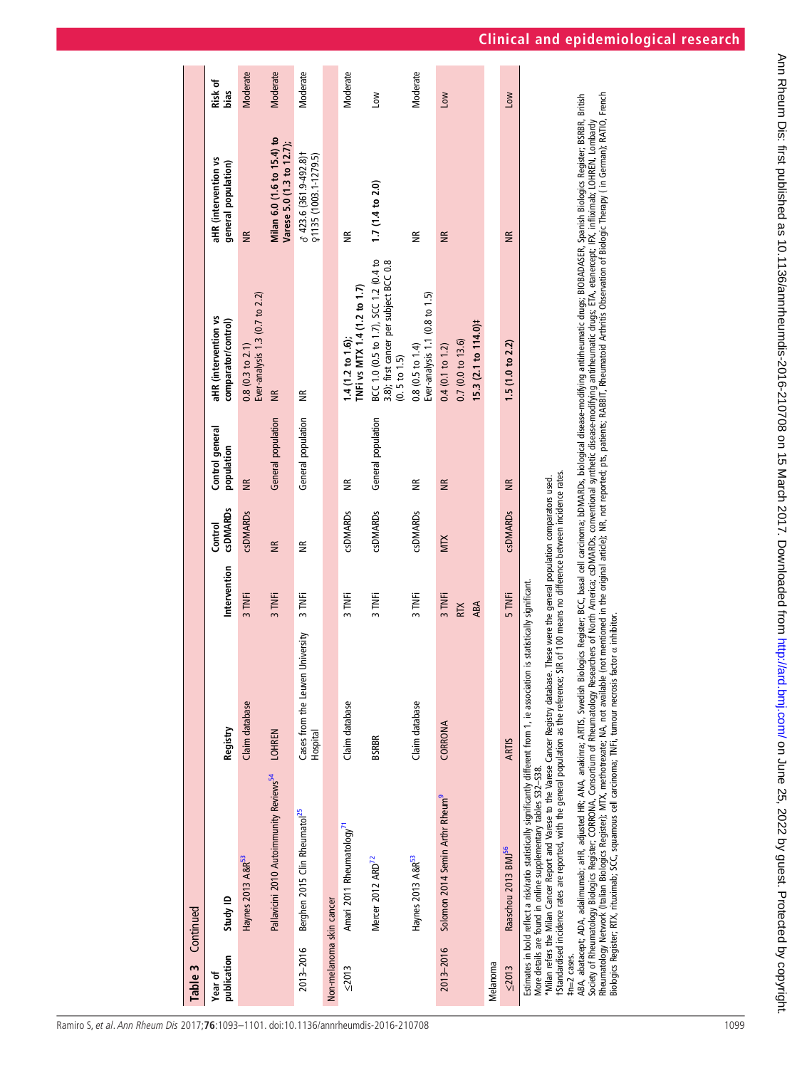| aHR (intervention vs<br>comparator/control)<br>$0.8(0.3 \text{ to } 2.1)$<br>Control general<br>population<br>$\widetilde{\mathsf{B}}$                                                                                                                                                                                                                                                                                                                                                                                                                                                                                                                                                                                                                                                                                                                                                                     | aHR (intervention vs<br>general population)             | Risk of<br>bias       |
|------------------------------------------------------------------------------------------------------------------------------------------------------------------------------------------------------------------------------------------------------------------------------------------------------------------------------------------------------------------------------------------------------------------------------------------------------------------------------------------------------------------------------------------------------------------------------------------------------------------------------------------------------------------------------------------------------------------------------------------------------------------------------------------------------------------------------------------------------------------------------------------------------------|---------------------------------------------------------|-----------------------|
|                                                                                                                                                                                                                                                                                                                                                                                                                                                                                                                                                                                                                                                                                                                                                                                                                                                                                                            |                                                         |                       |
| Ever-analysis 1.3 (0.7 to 2.2)                                                                                                                                                                                                                                                                                                                                                                                                                                                                                                                                                                                                                                                                                                                                                                                                                                                                             | $\widetilde{\mathsf{B}}$                                | <b>Moderate</b>       |
| $\widetilde{\Xi}$<br>General population                                                                                                                                                                                                                                                                                                                                                                                                                                                                                                                                                                                                                                                                                                                                                                                                                                                                    | Milan 6.0 (1.6 to 15.4) to<br>Varese 5.0 (1.3 to 12.7); | <b>Moderate</b>       |
| $\widetilde{\Xi}$<br>General population                                                                                                                                                                                                                                                                                                                                                                                                                                                                                                                                                                                                                                                                                                                                                                                                                                                                    | ♂ 423.6 (361.9-492.8)+<br>Q1135 (1003.1-1279.5)         | Moderate              |
|                                                                                                                                                                                                                                                                                                                                                                                                                                                                                                                                                                                                                                                                                                                                                                                                                                                                                                            |                                                         |                       |
| TNFi vs MTX 1.4 (1.2 to 1.7)<br>1.4(1.2 to 1.6)<br>€                                                                                                                                                                                                                                                                                                                                                                                                                                                                                                                                                                                                                                                                                                                                                                                                                                                       | €                                                       | Moderate              |
| BCC 1.0 (0.5 to 1.7), SCC 1.2 (0.4 to<br>3.8); first cancer per subject BCC 0.8<br>(0.5 to 1.5)<br>General population                                                                                                                                                                                                                                                                                                                                                                                                                                                                                                                                                                                                                                                                                                                                                                                      | 1.7(1.4 to 2.0)                                         | $\sum_{i=1}^{\infty}$ |
| Ever-analysis 1.1 (0.8 to 1.5)<br>$0.8(0.5 \text{ to } 1.4)$<br>€                                                                                                                                                                                                                                                                                                                                                                                                                                                                                                                                                                                                                                                                                                                                                                                                                                          | $\widetilde{\Xi}$                                       | Moderate              |
| 0.7(0.0 t0 13.6)<br>$0.4(0.1 \text{ to } 1.2)$<br>$\widetilde{\Xi}$                                                                                                                                                                                                                                                                                                                                                                                                                                                                                                                                                                                                                                                                                                                                                                                                                                        | $\widetilde{z}$                                         | Low                   |
|                                                                                                                                                                                                                                                                                                                                                                                                                                                                                                                                                                                                                                                                                                                                                                                                                                                                                                            |                                                         |                       |
| 1.5(1.0 to 2.2)<br>$\widetilde{\Xi}$                                                                                                                                                                                                                                                                                                                                                                                                                                                                                                                                                                                                                                                                                                                                                                                                                                                                       | $\widetilde{\Xi}$                                       | $\sum_{i=1}^{n}$      |
| Rheumatology Network (Italian Biologics Registe); MTX, methotrexate; MA, not available (not mentioned in the original article); NR, not reported; pts, patients; RABBIT, Rheumatologi Arthritis Observation of Biologic Therap<br>ABA, abatacept; ADA, adalimumab; aHR, adjusted HR; ANA, anakinra; ARTIS, Swedish Biologics Register; BCC, basal cell carcinoma; bDMARDs, biological disease-modifying antinheumatic drugs; BIOBADASER, Spanish Biologics Regis<br>Society of Rheumatologics Register; CORRONA, Consortium of Rheumatology Researchers of North America; csDMARDs, conventional synthetic disease-modifying antirheumatic drugs; ETA, etanercept; IriR(ximab; LOHREN, Lombady<br>15tandardised incidence rates are reported, with the general population as the reference; SIR of 100 means no difference between incidence rates.<br>These were the general population comparators used. |                                                         |                       |
| $15.3(2.1 to 114.0)$ #                                                                                                                                                                                                                                                                                                                                                                                                                                                                                                                                                                                                                                                                                                                                                                                                                                                                                     |                                                         |                       |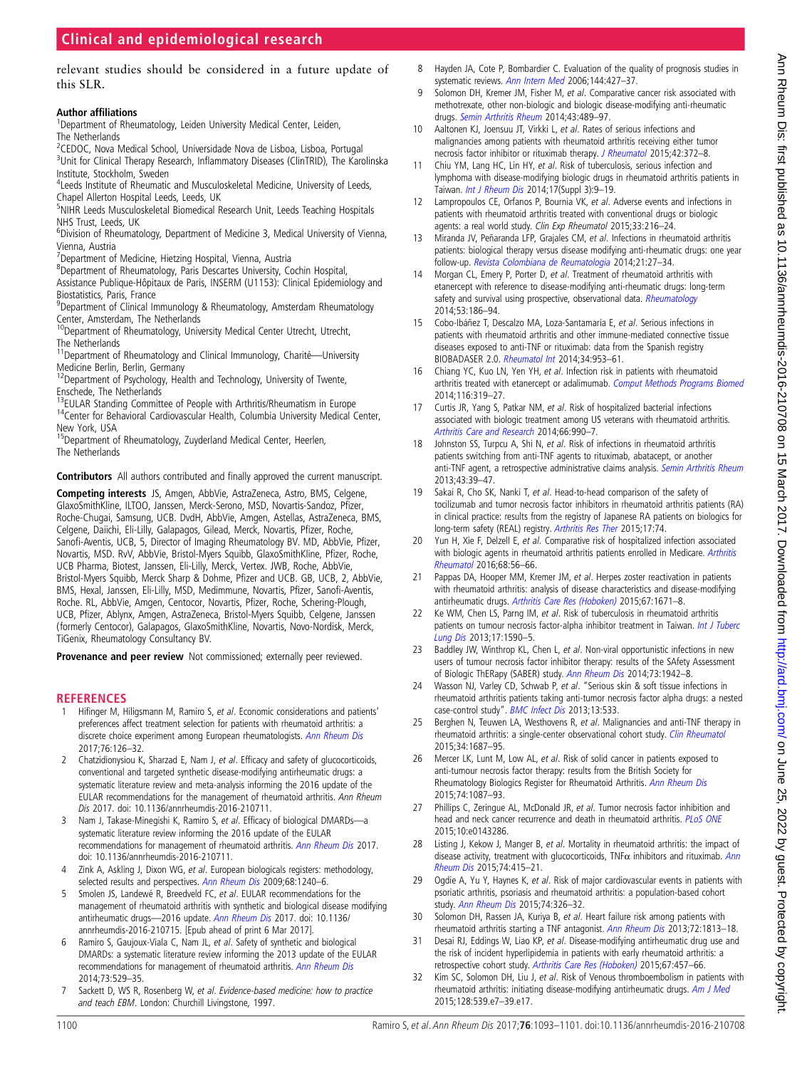<span id="page-7-0"></span>relevant studies should be considered in a future update of this SLR.

#### Author affiliations <sup>1</sup>

<sup>1</sup>Department of Rheumatology, Leiden University Medical Center, Leiden, The Netherlands

<sup>2</sup>CEDOC, Nova Medical School, Universidade Nova de Lisboa, Lisboa, Portugal

<sup>3</sup>Unit for Clinical Therapy Research, Inflammatory Diseases (ClinTRID), The Karolinska Institute, Stockholm, Sweden

<sup>4</sup>Leeds Institute of Rheumatic and Musculoskeletal Medicine, University of Leeds, Chapel Allerton Hospital Leeds, Leeds, UK

<sup>5</sup>NIHR Leeds Musculoskeletal Biomedical Research Unit, Leeds Teaching Hospitals NHS Trust, Leeds, UK

<sup>6</sup>Division of Rheumatology, Department of Medicine 3, Medical University of Vienna, Vienna, Austria

<sup>7</sup>Department of Medicine, Hietzing Hospital, Vienna, Austria

8 Department of Rheumatology, Paris Descartes University, Cochin Hospital,

Assistance Publique-Hôpitaux de Paris, INSERM (U1153): Clinical Epidemiology and Biostatistics, Paris, France <sup>9</sup>Department of Clinical Immunology & Rheumatology, Amsterdam Rheumatology

Center, Amsterdam, The Netherlands

<sup>10</sup>Department of Rheumatology, University Medical Center Utrecht, Utrecht, The Netherlands

<sup>11</sup>Department of Rheumatology and Clinical Immunology, Charité--- University Medicine Berlin, Berlin, Germany

<sup>12</sup>Department of Psychology, Health and Technology, University of Twente, Enschede, The Netherlands<br><sup>13</sup>EULAR Standing Committee of People with Arthritis/Rheumatism in Europe

 $14$ Center for Behavioral Cardiovascular Health, Columbia University Medical Center, New York, USA

15Department of Rheumatology, Zuyderland Medical Center, Heerlen, The Netherlands

Contributors All authors contributed and finally approved the current manuscript.

Competing interests JS, Amgen, AbbVie, AstraZeneca, Astro, BMS, Celgene, GlaxoSmithKline, ILTOO, Janssen, Merck-Serono, MSD, Novartis-Sandoz, Pfizer, Roche-Chugai, Samsung, UCB. DvdH, AbbVie, Amgen, Astellas, AstraZeneca, BMS, Celgene, Daiichi, Eli-Lilly, Galapagos, Gilead, Merck, Novartis, Pfizer, Roche, Sanofi-Aventis, UCB, 5, Director of Imaging Rheumatology BV. MD, AbbVie, Pfizer, Novartis, MSD. RvV, AbbVie, Bristol-Myers Squibb, GlaxoSmithKline, Pfizer, Roche, UCB Pharma, Biotest, Janssen, Eli-Lilly, Merck, Vertex. JWB, Roche, AbbVie, Bristol-Myers Squibb, Merck Sharp & Dohme, Pfizer and UCB. GB, UCB, 2, AbbVie, BMS, Hexal, Janssen, Eli-Lilly, MSD, Medimmune, Novartis, Pfizer, Sanofi-Aventis, Roche. RL, AbbVie, Amgen, Centocor, Novartis, Pfizer, Roche, Schering-Plough, UCB, Pfizer, Ablynx, Amgen, AstraZeneca, Bristol-Myers Squibb, Celgene, Janssen (formerly Centocor), Galapagos, GlaxoSmithKline, Novartis, Novo-Nordisk, Merck, TiGenix, Rheumatology Consultancy BV.

Provenance and peer review Not commissioned; externally peer reviewed.

#### REFERENCES

- Hifinger M, Hiligsmann M, Ramiro S, et al. Economic considerations and patients' preferences affect treatment selection for patients with rheumatoid arthritis: a discrete choice experiment among European rheumatologists. [Ann Rheum Dis](http://dx.doi.org/10.1136/annrheumdis-2016-209202) 2017;76:126–32.
- 2 Chatzidionysiou K, Sharzad E, Nam J, et al. Efficacy and safety of glucocorticoids, conventional and targeted synthetic disease-modifying antirheumatic drugs: a systematic literature review and meta-analysis informing the 2016 update of the EULAR recommendations for the management of rheumatoid arthritis. Ann Rheum Dis 2017. doi: 10.1136/annrheumdis-2016-210711.
- 3 Nam J, Takase-Minegishi K, Ramiro S, et al. Efficacy of biological DMARDs—a systematic literature review informing the 2016 update of the EULAR recommendations for management of rheumatoid arthritis. [Ann Rheum Dis](http://dx.doi: 10.1136/annrheumdis-2016-210711) 2017. doi: 10.1136/annrheumdis-2016-210711.
- 4 Zink A, Askling J, Dixon WG, et al. European biologicals registers: methodology, selected results and perspectives. [Ann Rheum Dis](http://dx.doi.org/10.1136/ard.2008.091926) 2009;68:1240-6.
- 5 Smolen JS, Landewé R, Breedveld FC, et al. EULAR recommendations for the management of rheumatoid arthritis with synthetic and biological disease modifying antirheumatic drugs-2016 update. [Ann Rheum Dis](http://dx.doi: 10.1136/annrheumdis-2016-210715) 2017. doi: 10.1136/ annrheumdis-2016-210715. [Epub ahead of print 6 Mar 2017].
- 6 Ramiro S, Gaujoux-Viala C, Nam JL, et al. Safety of synthetic and biological DMARDs: a systematic literature review informing the 2013 update of the EULAR recommendations for management of rheumatoid arthritis. [Ann Rheum Dis](http://dx.doi.org/10.1136/annrheumdis-2013-204575) 2014;73:529–35.
- 7 Sackett D, WS R, Rosenberg W, et al. Evidence-based medicine: how to practice and teach EBM. London: Churchill Livingstone, 1997.
- 8 Hayden JA, Cote P, Bombardier C. Evaluation of the quality of prognosis studies in systematic reviews. [Ann Intern Med](http://dx.doi.org/10.7326/0003-4819-144-6-200603210-00010) 2006;144:427-37.
- 9 Solomon DH, Kremer JM, Fisher M, et al. Comparative cancer risk associated with methotrexate, other non-biologic and biologic disease-modifying anti-rheumatic drugs. [Semin Arthritis Rheum](http://dx.doi.org/10.1016/j.semarthrit.2013.08.003) 2014;43:489–97.
- 10 Aaltonen KJ, Joensuu JT, Virkki L, et al. Rates of serious infections and malignancies among patients with rheumatoid arthritis receiving either tumor necrosis factor inhibitor or rituximab therapy. [J Rheumatol](http://dx.doi.org/10.3899/jrheum.140853) 2015;42:372-8.
- 11 Chiu YM, Lang HC, Lin HY, et al. Risk of tuberculosis, serious infection and lymphoma with disease-modifying biologic drugs in rheumatoid arthritis patients in Taiwan. [Int J Rheum Dis](http://dx.doi.org/10.1111/1756-185X.12539) 2014;17(Suppl 3):9–19.
- 12 Lampropoulos CE, Orfanos P, Bournia VK, et al. Adverse events and infections in patients with rheumatoid arthritis treated with conventional drugs or biologic agents: a real world study. Clin Exp Rheumatol 2015;33:216–24.
- 13 Miranda JV, Peñaranda LFP, Grajales CM, et al. Infections in rheumatoid arthritis patients: biological therapy versus disease modifying anti-rheumatic drugs: one year follow-up. [Revista Colombiana de Reumatologia](http://dx.doi.org/10.1016/S0121-8123(14)70144-6) 2014;21:27–34.
- 14 Morgan CL, Emery P, Porter D, et al. Treatment of rheumatoid arthritis with etanercept with reference to disease-modifying anti-rheumatic drugs: long-term safety and survival using prospective, observational data. [Rheumatology](http://dx.doi.org/10.1093/rheumatology/ket333) 2014;53:186–94.
- 15 Cobo-Ibáñez T, Descalzo MA, Loza-Santamaría E, et al. Serious infections in patients with rheumatoid arthritis and other immune-mediated connective tissue diseases exposed to anti-TNF or rituximab: data from the Spanish registry BIOBADASER 2.0. [Rheumatol Int](http://dx.doi.org/10.1007/s00296-014-2945-y) 2014;34:953–61.
- 16 Chiang YC, Kuo LN, Yen YH, et al. Infection risk in patients with rheumatoid arthritis treated with etanercept or adalimumab. [Comput Methods Programs Biomed](http://dx.doi.org/10.1016/j.cmpb.2014.06.008) 2014;116:319–27.
- 17 Curtis JR, Yang S, Patkar NM, et al. Risk of hospitalized bacterial infections associated with biologic treatment among US veterans with rheumatoid arthritis. [Arthritis Care and Research](http://dx.doi.org/10.1002/acr.22281) 2014;66:990–7.
- 18 Johnston SS, Turpcu A, Shi N, et al. Risk of infections in rheumatoid arthritis patients switching from anti-TNF agents to rituximab, abatacept, or another anti-TNF agent, a retrospective administrative claims analysis. [Semin Arthritis Rheum](http://dx.doi.org/10.1016/j.semarthrit.2012.12.024) 2013;43:39–47.
- 19 Sakai R, Cho SK, Nanki T, et al. Head-to-head comparison of the safety of tocilizumab and tumor necrosis factor inhibitors in rheumatoid arthritis patients (RA) in clinical practice: results from the registry of Japanese RA patients on biologics for long-term safety (REAL) registry. [Arthritis Res Ther](http://dx.doi.org/10.1186/s13075-015-0583-8) 2015;17:74.
- 20 Yun H, Xie F, Delzell E, et al. Comparative risk of hospitalized infection associated with biologic agents in rheumatoid arthritis patients enrolled in Medicare. [Arthritis](http://dx.doi.org/10.1002/art.39399) [Rheumatol](http://dx.doi.org/10.1002/art.39399) 2016;68:56–66.
- 21 Pappas DA, Hooper MM, Kremer JM, et al. Herpes zoster reactivation in patients with rheumatoid arthritis: analysis of disease characteristics and disease-modifying antirheumatic drugs. [Arthritis Care Res \(Hoboken\)](http://dx.doi.org/10.1002/acr.22628) 2015;67:1671–8.
- 22 Ke WM, Chen LS, Parng IM, et al. Risk of tuberculosis in rheumatoid arthritis patients on tumour necrosis factor-alpha inhibitor treatment in Taiwan. [Int J Tuberc](http://dx.doi.org/10.5588/ijtld.13.0368) [Lung Dis](http://dx.doi.org/10.5588/ijtld.13.0368) 2013;17:1590–5.
- 23 Baddley JW, Winthrop KL, Chen L, et al. Non-viral opportunistic infections in new users of tumour necrosis factor inhibitor therapy: results of the SAfety Assessment of Biologic ThERapy (SABER) study. [Ann Rheum Dis](http://dx.doi.org/10.1136/annrheumdis-2013-203407) 2014;73:1942-8.
- 24 Wasson NJ, Varley CD, Schwab P, et al. "Serious skin & soft tissue infections in rheumatoid arthritis patients taking anti-tumor necrosis factor alpha drugs: a nested case-control study". BMC [Infect](http://dx.doi.org/10.1186/1471-2334-13-533) Dis 2013;13:533.
- 25 Berghen N, Teuwen LA, Westhovens R, et al. Malignancies and anti-TNF therapy in rheumatoid arthritis: a single-center observational cohort study. [Clin Rheumatol](http://dx.doi.org/10.1007/s10067-015-3026-7) 2015;34:1687–95.
- 26 Mercer LK, Lunt M, Low AL, et al. Risk of solid cancer in patients exposed to anti-tumour necrosis factor therapy: results from the British Society for Rheumatology Biologics Register for Rheumatoid Arthritis. [Ann Rheum Dis](http://dx.doi.org/10.1136/annrheumdis-2013-204851) 2015;74:1087–93.
- 27 Phillips C, Zeringue AL, McDonald JR, et al. Tumor necrosis factor inhibition and head and neck cancer recurrence and death in rheumatoid arthritis. [PLoS ONE](http://dx.doi.org/10.1371/journal.pone.0143286) 2015;10:e0143286.
- 28 Listing J, Kekow J, Manger B, et al. Mortality in rheumatoid arthritis: the impact of disease activity, treatment with glucocorticoids,  $\text{TNF}\alpha$  inhibitors and rituximab. [Ann](http://dx.doi.org/10.1136/annrheumdis-2013-204021) [Rheum Dis](http://dx.doi.org/10.1136/annrheumdis-2013-204021) 2015;74:415–21.
- 29 Ogdie A, Yu Y, Haynes K, et al. Risk of major cardiovascular events in patients with psoriatic arthritis, psoriasis and rheumatoid arthritis: a population-based cohort study. [Ann Rheum Dis](http://dx.doi.org/10.1136/annrheumdis-2014-205675) 2015;74:326–32.
- 30 Solomon DH, Rassen JA, Kuriya B, et al. Heart failure risk among patients with rheumatoid arthritis starting a TNF antagonist. [Ann Rheum Dis](http://dx.doi.org/10.1136/annrheumdis-2012-202136) 2013;72:1813–18.
- 31 Desai RJ, Eddings W, Liao KP, et al. Disease-modifying antirheumatic drug use and the risk of incident hyperlipidemia in patients with early rheumatoid arthritis: a retrospective cohort study. [Arthritis Care Res \(Hoboken\)](http://dx.doi.org/10.1002/acr.22483) 2015;67:457–66.
- 32 Kim SC, Solomon DH, Liu J, et al. Risk of Venous thromboembolism in patients with rheumatoid arthritis: initiating disease-modifying antirheumatic drugs. [Am J Med](http://dx.doi.org/10.1016/j.amjmed.2014.11.025) 2015;128:539.e7–39.e17.